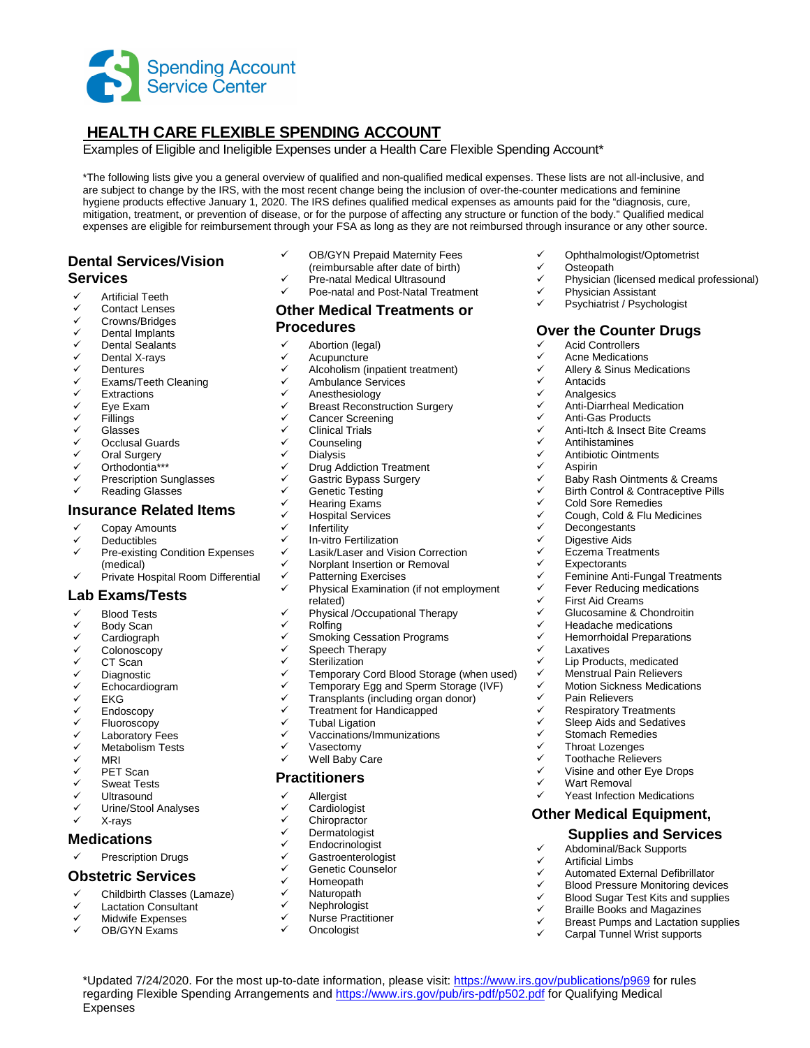

# **HEALTH CARE FLEXIBLE SPENDING ACCOUNT**

Examples of Eligible and Ineligible Expenses under a Health Care Flexible Spending Account\*

\*The following lists give you a general overview of qualified and non-qualified medical expenses. These lists are not all-inclusive, and are subject to change by the IRS, with the most recent change being the inclusion of over-the-counter medications and feminine hygiene products effective January 1, 2020. The IRS defines qualified medical expenses as amounts paid for the "diagnosis, cure, mitigation, treatment, or prevention of disease, or for the purpose of affecting any structure or function of the body." Qualified medical expenses are eligible for reimbursement through your FSA as long as they are not reimbursed through insurance or any other source.

← Ophthalmologist/Optometrist

Psychiatrist / Psychologist

**Over the Counter Drugs**

 $\checkmark$  Anti-Diarrheal Medication<br> $\checkmark$  Anti-Gas Products  $\checkmark$  Anti-Gas Products<br> $\checkmark$  Anti-Itch & Insect B

 $\checkmark$  Anti-Itch & Insect Bite Creams

 $\checkmark$  Baby Rash Ointments & Creams<br> $\checkmark$  Birth Control & Contraceptive Pills  $\checkmark$  Birth Control & Contraceptive Pills<br> $\checkmark$  Cold Sore Remedies

 $\checkmark$  Feminine Anti-Fungal Treatments<br> $\checkmark$  Fever Reducing medications  $\checkmark$  Fever Reducing medications<br> $\checkmark$  First Aid Creams

Visine and other Eye Drops

 Yeast Infection Medications **Other Medical Equipment,** 

> **Supplies and Services**  Abdominal/Back Supports

 Automated External Defibrillator ← Blood Pressure Monitoring devices<br>← Blood Sugar Test Kits and supplies  $\checkmark$  Blood Sugar Test Kits and supplies<br> $\checkmark$  Braille Books and Magazines Braille Books and Magazines  $\checkmark$  Breast Pumps and Lactation supplies Carpal Tunnel Wrist supports

 $\checkmark$  Glucosamine & Chondroitin<br> $\checkmark$  Headache medications ← Headache medications<br>← Hemorrhoidal Preparati  $\checkmark$  Hemorrhoidal Preparations<br> $\checkmark$  Laxatives

 $\checkmark$  Lip Products, medicated<br> $\checkmark$  Menstrual Pain Relievers  $\checkmark$  Menstrual Pain Relievers<br> $\checkmark$  Motion Sickness Medicati  $\checkmark$  Motion Sickness Medications

 $\checkmark$  Physician (licensed medical professional)

✓ Osteopath<br>✓ Physician (

← Physician Assistant<br>← Psychiatrist / Psyche

 $\checkmark$  Acid Controllers  $\checkmark$  Acne Medications<br> $\checkmark$  Allery & Sinus Meg ← Allery & Sinus Medications

 $\checkmark$  Antihistamines<br> $\checkmark$  Antibiotic Ointm  $\checkmark$  Antibiotic Ointments<br> $\checkmark$  Aspirin

<del>V</del> Decongestants<br>V Digestive Aids **✓ Digestive Aids**<br>✓ Fozema Treatr  $\checkmark$  Eczema Treatments<br> $\checkmark$  Expectorants **✓** Expectorants<br>✓ Feminine Anti

 $\checkmark$  First Aid Creams<br> $\checkmark$  Glucosamine & C

**V** Laxatives<br>V Lin Produ

V Pain Relievers<br>V Respiratory Tre  $\checkmark$  Respiratory Treatments<br> $\checkmark$  Sleep Aids and Sedative  $\checkmark$  Sleep Aids and Sedatives<br> $\checkmark$  Stomach Remedies  $\checkmark$  Stomach Remedies Throat Lozenges  $\checkmark$  Toothache Relievers

 $\checkmark$  Wart Removal

 $\checkmark$  Artificial Limbs<br> $\checkmark$  Automated Ext.

V Cold Sore Remedies<br>V Cough Cold & Flu M <del>V</del> Cough, Cold & Flu Medicines<br>V Decongestants

V Antacids<br>V Analgesie **V** Analgesics<br>**V** Anti-Diarrhey

✓ Aspirin<br>✓ Babv R

### **Dental Services/Vision Services**

- 
- ← Artificial Teeth<br>← Contact Lense ← Contact Lenses
- **✓ Crowns/Bridges**<br>✓ Dental Implants
- Dental Implants
- Dental Sealants
- V Dental X-rays<br>V Dentures
- Dentures
- <del>V</del> Exams/Teeth Cleaning<br>V Extractions
- Extractions
- √ Eye Exam<br>√ Fillings
- Fillings
- **V** Glasses
- Occlusal Guards
- V Oral Surgery<br>V Orthodontia\*\*
- Orthodontia\*\*\* Prescription Sunglasses
- Reading Glasses

## **Insurance Related Items**

- Copay Amounts
- 
- $\checkmark$  Deductibles Pre-existing Condition Expenses (medical)
- $\checkmark$  Private Hospital Room Differential

#### **Lab Exams/Tests**

- Blood Tests
- ✓ Body Scan<br>✓ Cardiograph
- Cardiograph
- Colonoscopy
- $\checkmark$  CT Scan
- **V** Diagnostic<br>V Echocardio
- V Echocardiogram<br>V EKG
- EKG
- Endoscopy
- V Fluoroscopy<br>V Laboratory E
- ← Laboratory Fees<br>← Metabolism Tests Metabolism Tests
- MRI
- 
- V PET Scan<br>V Sweat Tes
- V Sweat Tests<br>V Hitrasound
- V Ultrasound<br>V Urine/Stool Urine/Stool Analyses
- X-rays

#### **Medications**

Expenses

Prescription Drugs

#### **Obstetric Services**

- $\checkmark$  Childbirth Classes (Lamaze)
- Lactation Consultant
- Midwife Expenses
- OB/GYN Exams
- OB/GYN Prepaid Maternity Fees
- (reimbursable after date of birth)
- Pre-natal Medical Ultrasound
- Poe-natal and Post-Natal Treatment

#### **Other Medical Treatments or Procedures**

- $\checkmark$  Abortion (legal)
- $\checkmark$  Acupuncture
- Alcoholism (inpatient treatment)
- $\checkmark$  Ambulance Services
- Anesthesiology
- $\checkmark$  Breast Reconstruction Surgery
- Cancer Screening
- $\checkmark$  Clinical Trials
- Counseling
- **Dialysis**
- Drug Addiction Treatment
- $\checkmark$  Gastric Bypass Surgery<br> $\checkmark$  Genetic Testing
- **✓ Genetic Testing**<br>✓ Hearing Exams
- V Hearing Exams<br>V Hospital Service
- Hospital Services
- $\checkmark$  Infertility
- $\checkmark$  In-vitro Fertilization<br> $\checkmark$  I asik/I aser and Vis
- Lasik/Laser and Vision Correction
- $\checkmark$  Norplant Insertion or Removal
- $\checkmark$  Patterning Exercises
	- Physical Examination (if not employment related)
- $\checkmark$  Physical /Occupational Therapy
- V Rolfing<br>V Smokin
- Smoking Cessation Programs
- $\checkmark$  Speech Therapy<br> $\checkmark$  Sterilization
- **Sterilization**
- $\checkmark$  Temporary Cord Blood Storage (when used)<br> $\checkmark$  Temporary Egg and Sperm Storage (IVE)
- $\checkmark$  Temporary Egg and Sperm Storage (IVF)<br> $\checkmark$  Transplants (including organ donor)

\*Updated 7/24/2020. For the most up-to-date information, please visit: https://www.irs.gov/publications/p969 for rules regarding Flexible Spending Arrangements and https://www.irs.gov/pub/irs-pdf/p502.pdf for Qualifying Medical

- Transplants (including organ donor)
- $\checkmark$  Treatment for Handicapped
- $\checkmark$  Tubal Ligation
- Vaccinations/Immunizations
- Vasectomy
- Well Baby Care

## **Practitioners**

- **Allergist**
- **Cardiologist**
- $\checkmark$  Chiropractor
- **Dermatologist**
- $\checkmark$  Endocrinologist
- **Gastroenterologist**

 Nurse Practitioner **Oncologist** 

- ← Genetic Counselor<br>← Homeopath
- ✓ Homeopath<br>✓ Naturopath
- Naturopath V Nephrologist<br>V Nurse Practiti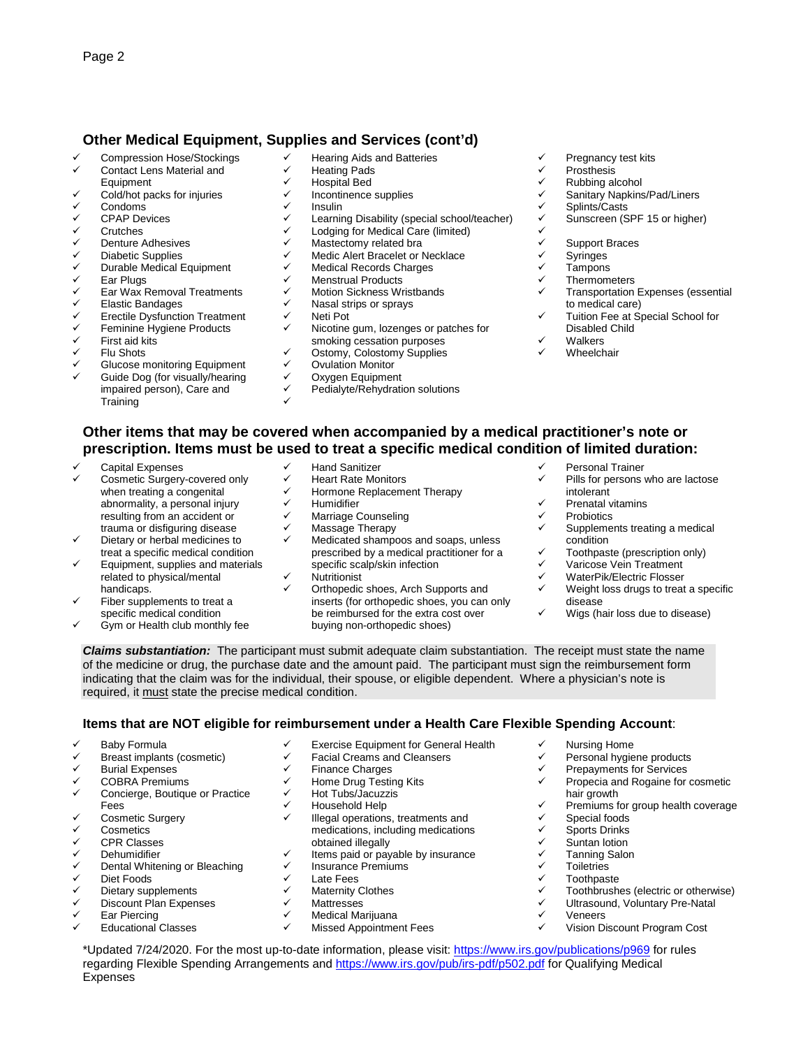## **Other Medical Equipment, Supplies and Services (cont'd)**

- Compression Hose/Stockings
- $\checkmark$  Contact Lens Material and **Equipment**
- $\checkmark$  Cold/hot packs for injuries
- $\checkmark$  Condoms<br> $\checkmark$  CPAR Dov
- CPAP Devices
- Crutches
- Denture Adhesives
- **✓ Diabetic Supplies**<br>✓ Durable Medical E
- Durable Medical Equipment
- V Ear Plugs<br>V Ear Wax E
- ✓ Ear Wax Removal Treatments<br>✓ Elastic Bandages
- <del>V</del> Elastic Bandages<br>V Erectile Dysfunctic
- <del>V</del> Erectile Dysfunction Treatment<br>V Eeminine Hygiene Products
- $\checkmark$  Feminine Hygiene Products<br> $\checkmark$  First aid kits
- First aid kits
- Flu Shots
- Glucose monitoring Equipment
- Guide Dog (for visually/hearing impaired person), Care and **Training**
- Hearing Aids and Batteries
- Heating Pads
- Hospital Bed
- Incontinence supplies
- Insulin
- Learning Disability (special school/teacher)
- Lodging for Medical Care (limited)
- Mastectomy related bra
- Medic Alert Bracelet or Necklace
- Medical Records Charges
- Menstrual Products
- Motion Sickness Wristbands
- Nasal strips or sprays
- V Neti Pot<br>V Nicotino
- Nicotine gum, lozenges or patches for smoking cessation purposes
- $\checkmark$  Ostomy, Colostomy Supplies<br> $\checkmark$  Ovulation Monitor
- Ovulation Monitor
- $\checkmark$  Oxygen Equipment
- Pedialyte/Rehydration solutions  $\checkmark$
- $\checkmark$  Pregnancy test kits<br> $\checkmark$  Prosthesis
- V Prosthesis<br>V Rubbing al
- $\checkmark$  Rubbing alcohol<br> $\checkmark$  Sanitary Nankins
- ✓ Sanitary Napkins/Pad/Liners<br>✓ Splints/Casts
- **V** Splints/Casts<br> **V** Sunscreen (S
	- Sunscreen (SPF 15 or higher)
- $\checkmark$
- $\checkmark$  Support Braces
- ✓ Syringes
- $\checkmark$  Tampons<br> $\checkmark$  Thermom
- $\checkmark$  Thermometers<br> $\checkmark$  Transportation
- Transportation Expenses (essential to medical care)
- Tuition Fee at Special School for Disabled Child
- **Walkers**
- **Wheelchair**
- **Other items that may be covered when accompanied by a medical practitioner's note or prescription. Items must be used to treat a specific medical condition of limited duration:**
- Capital Expenses
- Cosmetic Surgery-covered only when treating a congenital abnormality, a personal injury resulting from an accident or trauma or disfiguring disease
- Dietary or herbal medicines to treat a specific medical condition
- Equipment, supplies and materials related to physical/mental handicaps.
- Fiber supplements to treat a specific medical condition
- Gym or Health club monthly fee
- Hand Sanitizer
- 
- ← Heart Rate Monitors<br>← Hormono Bonicome  $\checkmark$  Hormone Replacement Therapy<br> $\checkmark$  Humidifier
- Humidifier
- $\checkmark$  Marriage Counseling
- Massage Therapy
- Medicated shampoos and soaps, unless prescribed by a medical practitioner for a specific scalp/skin infection Nutritionist
- Orthopedic shoes, Arch Supports and inserts (for orthopedic shoes, you can only be reimbursed for the extra cost over buying non-orthopedic shoes)
- Personal Trainer
- Pills for persons who are lactose intolerant
- Prenatal vitamins
- $\checkmark$  Probiotics

V Nursing Home<br>V Personal bygie

hair growth

 $\checkmark$  Special foods<br> $\checkmark$  Sports Drinks Sports Drinks **V** Suntan lotion<br>**V** Tanning Salor ✓ Tanning Salon<br>✓ Toiletries **✓** Toiletries V Toothpaste<br>V Toothbrush

Veneers

- Supplements treating a medical condition
- Toothpaste (prescription only)
- Varicose Vein Treatment
- ← WaterPik/Electric Flosser<br>← Wojekt loss drugs to treat
- Weight loss drugs to treat a specific disease
- $\checkmark$  Wigs (hair loss due to disease)

 Personal hygiene products  $\checkmark$  Prepayments for Services<br> $\checkmark$  Propecia and Rogaine for

Propecia and Rogaine for cosmetic

 $\checkmark$  Premiums for group health coverage

 $\checkmark$  Toothbrushes (electric or otherwise)<br> $\checkmark$  Ultrasound, Voluntary Pre-Natal <del>V</del> Ultrasound, Voluntary Pre-Natal

Vision Discount Program Cost

**Claims substantiation:** The participant must submit adequate claim substantiation. The receipt must state the name of the medicine or drug, the purchase date and the amount paid. The participant must sign the reimbursement form indicating that the claim was for the individual, their spouse, or eligible dependent. Where a physician's note is required, it must state the precise medical condition.

### **Items that are NOT eligible for reimbursement under a Health Care Flexible Spending Account**:

 $\checkmark$  Illegal operations, treatments and medications, including medications

- Baby Formula
- Breast implants (cosmetic)
- Burial Expenses
- $\checkmark$  COBRA Premiums
- Concierge, Boutique or Practice Fees
- ← Cosmetic Surgery
- **Cosmetics**
- ✓ CPR Classes<br>✓ Debumidifier
- V Dehumidifier<br>V Dental White
- Dental Whitening or Bleaching
- Diet Foods
- Dietary supplements
- Discount Plan Expenses
- Ear Piercing

Expenses

Educational Classes

← Exercise Equipment for General Health

Items paid or payable by insurance

\*Updated 7/24/2020. For the most up-to-date information, please visit: https://www.irs.gov/publications/p969 for rules regarding Flexible Spending Arrangements and https://www.irs.gov/pub/irs-pdf/p502.pdf for Qualifying Medical

- Facial Creams and Cleansers
- **Finance Charges**
- Home Drug Testing Kits Hot Tubs/Jacuzzis Household Help

obtained illegally

 Late Fees ← Maternity Clothes V Mattresses<br>V Medical Mo

Insurance Premiums

 Medical Marijuana Missed Appointment Fees